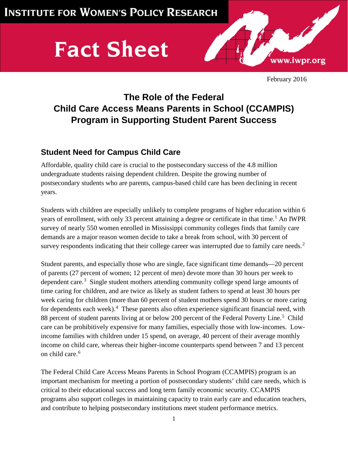# **Fact Sheet**



February 2016

## **The Role of the Federal Child Care Access Means Parents in School (CCAMPIS) Program in Supporting Student Parent Success**

### **Student Need for Campus Child Care**

Affordable, quality child care is crucial to the postsecondary success of the 4.8 million undergraduate students raising dependent children. Despite the growing number of postsecondary students who are parents, campus-based child care has been declining in recent years.

Students with children are especially unlikely to complete programs of higher education within 6 years of enrollment, with only 33 percent attaining a degree or certificate in that time.<sup>[1](#page-3-0)</sup> An IWPR survey of nearly 550 women enrolled in Mississippi community colleges finds that family care demands are a major reason women decide to take a break from school, with 30 percent of survey respondents indicating that their college career was interrupted due to family care needs.<sup>[2](#page-3-1)</sup>

Student parents, and especially those who are single, face significant time demands—20 percent of parents (27 percent of women; 12 percent of men) devote more than 30 hours per week to dependent care.[3](#page-3-2) Single student mothers attending community college spend large amounts of time caring for children, and are twice as likely as student fathers to spend at least 30 hours per week caring for children (more than 60 percent of student mothers spend 30 hours or more caring for dependents each week).<sup>[4](#page-3-3)</sup> These parents also often experience significant financial need, with 88 percent of student parents living at or below 200 percent of the Federal Poverty Line.<sup>[5](#page-3-4)</sup> Child care can be prohibitively expensive for many families, especially those with low-incomes. Lowincome families with children under 15 spend, on average, 40 percent of their average monthly income on child care, whereas their higher-income counterparts spend between 7 and 13 percent on child care.<sup>[6](#page-3-5)</sup>

The Federal Child Care Access Means Parents in School Program (CCAMPIS) program is an important mechanism for meeting a portion of postsecondary students' child care needs, which is critical to their educational success and long term family economic security. CCAMPIS programs also support colleges in maintaining capacity to train early care and education teachers, and contribute to helping postsecondary institutions meet student performance metrics.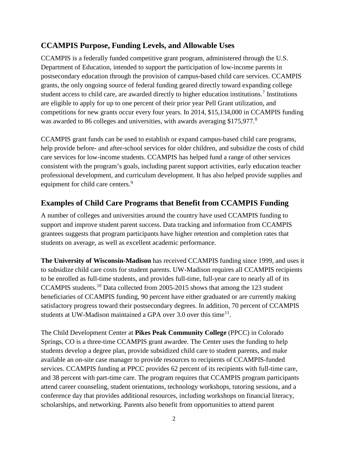#### **CCAMPIS Purpose, Funding Levels, and Allowable Uses**

CCAMPIS is a federally funded competitive grant program, administered through the U.S. Department of Education, intended to support the participation of low-income parents in postsecondary education through the provision of campus-based child care services. CCAMPIS grants, the only ongoing source of federal funding geared directly toward expanding college student access to child care, are awarded directly to higher education institutions.<sup>[7](#page-4-0)</sup> Institutions are eligible to apply for up to one percent of their prior year Pell Grant utilization, and competitions for new grants occur every four years. In 2014, \$15,134,000 in CCAMPIS funding was awarded to [8](#page-4-1)6 colleges and universities, with awards averaging \$175,977.<sup>8</sup>

CCAMPIS grant funds can be used to establish or expand campus-based child care programs, help provide before- and after-school services for older children, and subsidize the costs of child care services for low-income students. CCAMPIS has helped fund a range of other services consistent with the program's goals, including parent support activities, early education teacher professional development, and curriculum development. It has also helped provide supplies and equipment for child care centers.<sup>[9](#page-4-2)</sup>

#### **Examples of Child Care Programs that Benefit from CCAMPIS Funding**

A number of colleges and universities around the country have used CCAMPIS funding to support and improve student parent success. Data tracking and information from CCAMPIS grantees suggests that program participants have higher retention and completion rates that students on average, as well as excellent academic performance.

**The University of Wisconsin-Madison** has received CCAMPIS funding since 1999, and uses it to subsidize child care costs for student parents. UW-Madison requires all CCAMPIS recipients to be enrolled as full-time students, and provides full-time, full-year care to nearly all of its CCAMPIS students.[10](#page-4-3) Data collected from 2005-2015 shows that among the 123 student beneficiaries of CCAMPIS funding, 90 percent have either graduated or are currently making satisfactory progress toward their postsecondary degrees. In addition, 70 percent of CCAMPIS students at UW-Madison maintained a GPA over 3.0 over this time<sup>11</sup>.

The Child Development Center at **Pikes Peak Community College** (PPCC) in Colorado Springs, CO is a three-time CCAMPIS grant awardee. The Center uses the funding to help students develop a degree plan, provide subsidized child care to student parents, and make available an on-site case manager to provide resources to recipients of CCAMPIS-funded services. CCAMPIS funding at PPCC provides 62 percent of its recipients with full-time care, and 38 percent with part-time care. The program requires that CCAMPIS program participants attend career counseling, student orientations, technology workshops, tutoring sessions, and a conference day that provides additional resources, including workshops on financial literacy, scholarships, and networking. Parents also benefit from opportunities to attend parent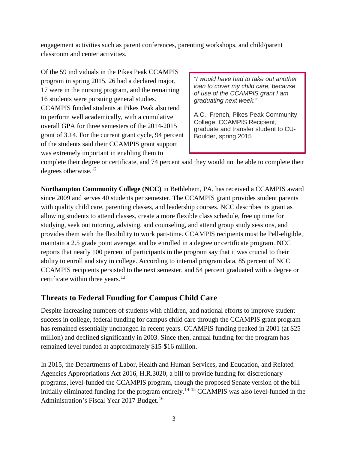engagement activities such as parent conferences, parenting workshops, and child/parent classroom and center activities.

Of the 59 individuals in the Pikes Peak CCAMPIS program in spring 2015, 26 had a declared major, 17 were in the nursing program, and the remaining 16 students were pursuing general studies. CCAMPIS funded students at Pikes Peak also tend to perform well academically, with a cumulative overall GPA for three semesters of the 2014-2015 grant of 3.14. For the current grant cycle, 94 percent of the students said their CCAMPIS grant support was extremely important in enabling them to

*"I would have had to take out another loan to cover my child care, because of use of the CCAMPIS grant I am graduating next week."* 

A.C., French, Pikes Peak Community College, CCAMPIS Recipient, graduate and transfer student to CU-Boulder, spring 2015

complete their degree or certificate, and 74 percent said they would not be able to complete their degrees otherwise.<sup>[12](#page-4-5)</sup>

**Northampton Community College (NCC)** in Bethlehem, PA, has received a CCAMPIS award since 2009 and serves 40 students per semester. The CCAMPIS grant provides student parents with quality child care, parenting classes, and leadership courses. NCC describes its grant as allowing students to attend classes, create a more flexible class schedule, free up time for studying, seek out tutoring, advising, and counseling, and attend group study sessions, and provides them with the flexibility to work part-time. CCAMPIS recipients must be Pell-eligible, maintain a 2.5 grade point average, and be enrolled in a degree or certificate program. NCC reports that nearly 100 percent of participants in the program say that it was crucial to their ability to enroll and stay in college. According to internal program data, 85 percent of NCC CCAMPIS recipients persisted to the next semester, and 54 percent graduated with a degree or certificate within three years.<sup>[13](#page-4-6)</sup>

#### **Threats to Federal Funding for Campus Child Care**

Despite increasing numbers of students with children, and national efforts to improve student success in college, federal funding for campus child care through the CCAMPIS grant program has remained essentially unchanged in recent years. CCAMPIS funding peaked in 2001 (at \$25 million) and declined significantly in 2003. Since then, annual funding for the program has remained level funded at approximately \$15-\$16 million.

In 2015, the Departments of Labor, Health and Human Services, and Education, and Related Agencies Appropriations Act 2016, H.R.3020, a bill to provide funding for discretionary programs, level-funded the CCAMPIS program, though the proposed Senate version of the bill initially eliminated funding for the program entirely.<sup>[14](#page-4-7)-[15](#page-4-8)</sup> CCAMPIS was also level-funded in the Administration's Fiscal Year 2017 Budget.<sup>[16](#page-4-9)</sup>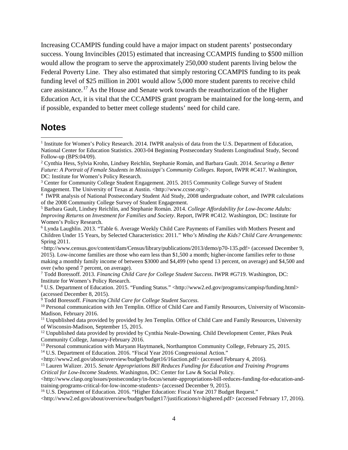Increasing CCAMPIS funding could have a major impact on student parents' postsecondary success. Young Invincibles (2015) estimated that increasing CCAMPIS funding to \$500 million would allow the program to serve the approximately 250,000 student parents living below the Federal Poverty Line. They also estimated that simply restoring CCAMPIS funding to its peak funding level of \$25 million in 2001 would allow 5,000 more student parents to receive child care assistance.<sup>[17](#page-4-10)</sup> As the House and Senate work towards the reauthorization of the Higher Education Act, it is vital that the CCAMPIS grant program be maintained for the long-term, and if possible, expanded to better meet college students' need for child care.

#### **Notes**

 $\overline{a}$ 

<http://www2.ed.gov/about/overview/budget/budget17/justifications/r-highered.pdf> (accessed February 17, 2016).

<span id="page-3-0"></span><sup>&</sup>lt;sup>1</sup> Institute for Women's Policy Research. 2014. IWPR analysis of data from the U.S. Department of Education, National Center for Education Statistics. 2003-04 Beginning Postsecondary Students Longitudinal Study, Second Follow-up (BPS:04/09).

<span id="page-3-1"></span><sup>2</sup> Cynthia Hess, Sylvia Krohn, Lindsey Reichlin, Stephanie Román, and Barbara Gault. 2014. *Securing a Better Future: A Portrait of Female Students in Mississippi's Community Colleges*. Report, IWPR #C417. Washington, DC: Institute for Women's Policy Research.

<span id="page-3-2"></span><sup>&</sup>lt;sup>3</sup> Center for Community College Student Engagement. 2015. 2015 Community College Survey of Student Engagement. The University of Texas at Austin. <http://www.ccsse.org/>.

<span id="page-3-3"></span><sup>4</sup> IWPR analysis of National Postsecondary Student Aid Study, 2008 undergraduate cohort, and IWPR calculations of the 2008 Community College Survey of Student Engagement.

<span id="page-3-4"></span><sup>5</sup> Barbara Gault, Lindsey Reichlin, and Stephanie Román. 2014. *College Affordability for Low-Income Adults: Improving Returns on Investment for Families and Society*. Report, IWPR #C412. Washington, DC: Institute for Women's Policy Research.

<span id="page-3-5"></span><sup>6</sup> Lynda Laughlin. 2013. "Table 6. Average Weekly Child Care Payments of Families with Mothers Present and Children Under 15 Years, by Selected Characteristics: 2011." *Who's Minding the Kids? Child Care Arrangements*: Spring 2011.

<sup>&</sup>lt;http://www.census.gov/content/dam/Census/library/publications/2013/demo/p70-135.pdf> (accessed December 9, 2015). Low-income families are those who earn less than \$1,500 a month; higher-income families refer to those making a monthly family income of between \$3000 and \$4,499 (who spend 13 percent, on average) and \$4,500 and over (who spend 7 percent, on average).

<sup>7</sup> Todd Boressoff. 2013. *Financing Child Care for College Student Success*. IWPR #G719. Washington, DC: Institute for Women's Policy Research.

<sup>8</sup> U.S. Department of Education. 2015. "Funding Status." <http://www2.ed.gov/programs/campisp/funding.html> (accessed December 8, 2015).

<sup>9</sup> Todd Boressoff. *Financing Child Care for College Student Success*.

<sup>&</sup>lt;sup>10</sup> Personal communication with Jen Templin. Office of Child Care and Family Resources, University of Wisconsin-Madison, February 2016.

<sup>&</sup>lt;sup>11</sup> Unpublished data provided by provided by Jen Templin. Office of Child Care and Family Resources, University of Wisconsin-Madison, September 15, 2015.

<sup>&</sup>lt;sup>12</sup> Unpublished data provided by provided by Cynthia Neale-Downing. Child Development Center, Pikes Peak Community College, January-February 2016.

<sup>&</sup>lt;sup>13</sup> Personal communication with Maryann Haytmanek, Northampton Community College, February 25, 2015.

<sup>&</sup>lt;sup>14</sup> U.S. Department of Education. 2016. "Fiscal Year 2016 Congressional Action."

<sup>&</sup>lt;http://www2.ed.gov/about/overview/budget/budget16/16action.pdf> (accessed February 4, 2016).

<sup>15</sup> Lauren Walizer. 2015. *Senate Appropriations Bill Reduces Funding for Education and Training Programs Critical for Low-Income Students*. Washington, DC: Center for Law & Social Policy.

 $\langle$ http://www.clasp.org/issues/postsecondary/in-focus/senate-appropriations-bill-reduces-funding-for-education-andtraining-programs-critical-for-low-income-students> (accessed December 9, 2015).

<sup>&</sup>lt;sup>16</sup> U.S. Department of Education. 2016. "Higher Education: Fiscal Year 2017 Budget Request."